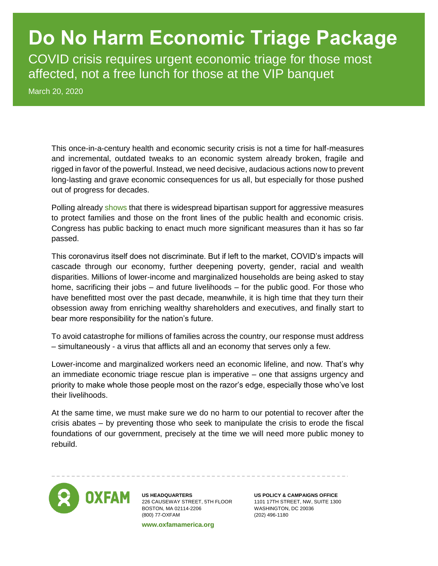# **Do No Harm Economic Triage Package**

COVID crisis requires urgent economic triage for those most affected, not a free lunch for those at the VIP banquet

March 20, 2020

This once-in-a-century health and economic security crisis is not a time for half-measures and incremental, outdated tweaks to an economic system already broken, fragile and rigged in favor of the powerful. Instead, we need decisive, audacious actions now to prevent long-lasting and grave economic consequences for us all, but especially for those pushed out of progress for decades.

Polling already [shows](https://www.oxfamamerica.org/explore/research-publications/coronavirus-response-oxfam/) that there is widespread bipartisan support for aggressive measures to protect families and those on the front lines of the public health and economic crisis. Congress has public backing to enact much more significant measures than it has so far passed.

This coronavirus itself does not discriminate. But if left to the market, COVID's impacts will cascade through our economy, further deepening poverty, gender, racial and wealth disparities. Millions of lower-income and marginalized households are being asked to stay home, sacrificing their jobs – and future livelihoods – for the public good. For those who have benefitted most over the past decade, meanwhile, it is high time that they turn their obsession away from enriching wealthy shareholders and executives, and finally start to bear more responsibility for the nation's future.

To avoid catastrophe for millions of families across the country, our response must address – simultaneously - a virus that afflicts all and an economy that serves only a few.

Lower-income and marginalized workers need an economic lifeline, and now. That's why an immediate economic triage rescue plan is imperative – one that assigns urgency and priority to make whole those people most on the razor's edge, especially those who've lost their livelihoods.

At the same time, we must make sure we do no harm to our potential to recover after the crisis abates – by preventing those who seek to manipulate the crisis to erode the fiscal foundations of our government, precisely at the time we will need more public money to rebuild.



**US HEADQUARTERS** 226 CAUSEWAY STREET, 5TH FLOOR BOSTON, MA 02114-2206 (800) 77-OXFAM

**www.oxfamamerica.org**

**US POLICY & CAMPAIGNS OFFICE** 1101 17TH STREET, NW, SUITE 1300 WASHINGTON, DC 20036 (202) 496-1180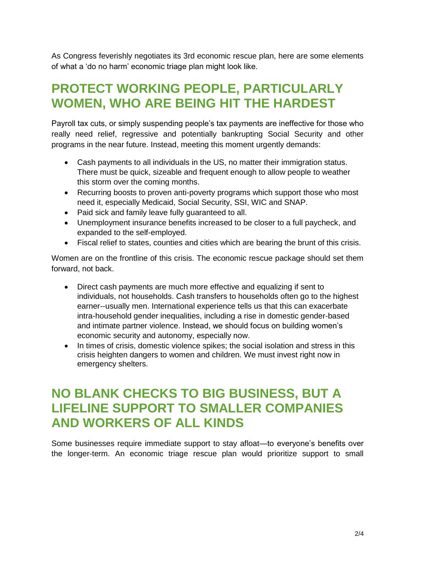As Congress feverishly negotiates its 3rd economic rescue plan, here are some elements of what a 'do no harm' economic triage plan might look like.

#### **PROTECT WORKING PEOPLE, PARTICULARLY WOMEN, WHO ARE BEING HIT THE HARDEST**

Payroll tax cuts, or simply suspending people's tax payments are ineffective for those who really need relief, regressive and potentially bankrupting Social Security and other programs in the near future. Instead, meeting this moment urgently demands:

- Cash payments to all individuals in the US, no matter their immigration status. There must be quick, sizeable and frequent enough to allow people to weather this storm over the coming months.
- Recurring boosts to proven anti-poverty programs which support those who most need it, especially Medicaid, Social Security, SSI, WIC and SNAP.
- Paid sick and family leave fully guaranteed to all.
- Unemployment insurance benefits increased to be closer to a full paycheck, and expanded to the self-employed.
- Fiscal relief to states, counties and cities which are bearing the brunt of this crisis.

Women are on the frontline of this crisis. The economic rescue package should set them forward, not back.

- Direct cash payments are much more effective and equalizing if sent to individuals, not households. Cash transfers to households often go to the highest earner--usually men. International experience tells us that this can exacerbate intra-household gender inequalities, including a rise in domestic gender-based and intimate partner violence. Instead, we should focus on building women's economic security and autonomy, especially now.
- In times of crisis, domestic violence spikes; the social isolation and stress in this crisis heighten dangers to women and children. We must invest right now in emergency shelters.

#### **NO BLANK CHECKS TO BIG BUSINESS, BUT A LIFELINE SUPPORT TO SMALLER COMPANIES AND WORKERS OF ALL KINDS**

Some businesses require immediate support to stay afloat—to everyone's benefits over the longer-term. An economic triage rescue plan would prioritize support to small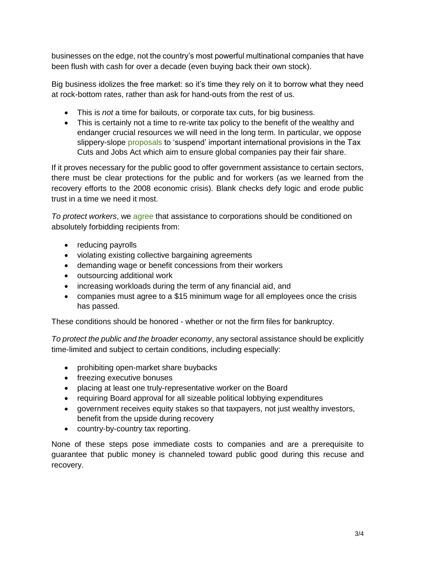businesses on the edge, not the country's most powerful multinational companies that have been flush with cash for over a decade (even buying back their own stock).

Big business idolizes the free market: so it's time they rely on it to borrow what they need at rock-bottom rates, rather than ask for hand-outs from the rest of us.

- This is *not* a time for bailouts, or corporate tax cuts, for big business.
- This is certainly not a time to re-write tax policy to the benefit of the wealthy and endanger crucial resources we will need in the long term. In particular, we oppose slippery-slope [proposals](https://bit.ly/2UoPXa9) to 'suspend' important international provisions in the Tax Cuts and Jobs Act which aim to ensure global companies pay their fair share.

If it proves necessary for the public good to offer government assistance to certain sectors, there must be clear protections for the public and for workers (as we learned from the recovery efforts to the 2008 economic crisis). Blank checks defy logic and erode public trust in a time we need it most.

*To protect workers*, we [agree](https://www.americanprogress.org/issues/economy/news/2020/03/18/481945/industry-firm-bailouts-amid-coronavirus-pandemic/) that assistance to corporations should be conditioned on absolutely forbidding recipients from:

- reducing payrolls
- violating existing collective bargaining agreements
- demanding wage or benefit concessions from their workers
- outsourcing additional work
- increasing workloads during the term of any financial aid, and
- companies must agree to a \$15 minimum wage for all employees once the crisis has passed.

These conditions should be honored - whether or not the firm files for bankruptcy.

*To protect the public and the broader economy*, any sectoral assistance should be explicitly time-limited and subject to certain conditions, including especially:

- prohibiting open-market share buybacks
- freezing executive bonuses
- placing at least one truly-representative worker on the Board
- requiring Board approval for all sizeable political lobbying expenditures
- government receives equity stakes so that taxpayers, not just wealthy investors, benefit from the upside during recovery
- country-by-country tax reporting.

None of these steps pose immediate costs to companies and are a prerequisite to guarantee that public money is channeled toward public good during this recuse and recovery.